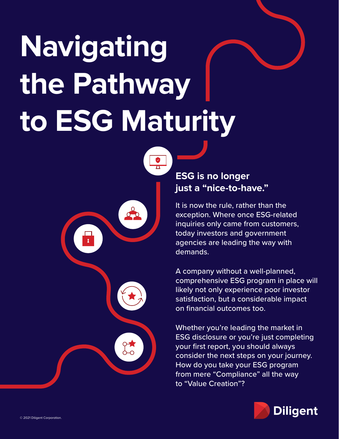# **Navigating the Pathway to ESG Maturity**



# **ESG is no longer just a "nice-to-have."**

It is now the rule, rather than the exception. Where once ESG-related inquiries only came from customers, today investors and government agencies are leading the way with demands.

A company without a well-planned, comprehensive ESG program in place will likely not only experience poor investor satisfaction, but a considerable impact on financial outcomes too.

Whether you're leading the market in ESG disclosure or you're just completing your first report, you should always consider the next steps on your journey. How do you take your ESG program from mere "Compliance" all the way to "Value Creation"?

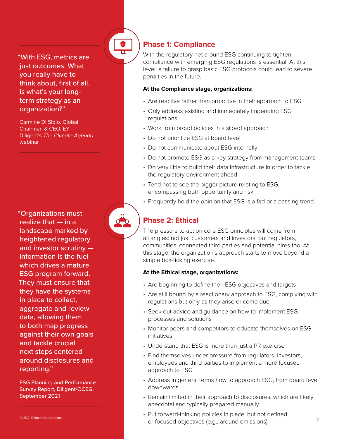just outcomes. What you really have to think about, first of all, is what's your longterm strategy as an organization?"

Carmine Di Sibio, Global Chairman & CEO, EY — Diligent's *The Climate Agenda*  webinar

**The specifier of the specifical state of the specifical state of the specifical state of the specifical state of the specifical state of the specifical state of the specifical state of the specifical state of the specifi** "Organizations must realize that — in a landscape marked by heightened regulatory and investor scrutiny information is the fuel which drives a mature ESG program forward. They must ensure that they have the systems in place to collect, aggregate and review data, allowing them to both map progress against their own goals and tackle crucial next steps centered around disclosures and reporting."

ESG Planning and Performance Survey Report, Diligent/OCEG, September 2021

# **Phase 1: Compliance**

With the regulatory net around ESG continuing to tighten, compliance with emerging ESG regulations is essential. At this level, a failure to grasp basic ESG protocols could lead to severe penalties in the future.

#### **At the Compliance stage, organizations:**

- Are reactive rather than proactive in their approach to ESG
- Only address existing and immediately impending ESG regulations
- Work from broad policies in a siloed approach
- Do not prioritize ESG at board level
- Do not communicate about ESG internally
- Do not promote ESG as a key strategy from management teams
- Do very little to build their data infrastructure in order to tackle the regulatory environment ahead
- Tend not to see the bigger picture relating to ESG, encompassing both opportunity and risk
- Frequently hold the opinion that ESG is a fad or a passing trend

# **Phase 2: Ethical**

The pressure to act on core ESG principles will come from all angles: not just customers and investors, but regulators, communities, connected third parties and potential hires too. At this stage, the organization's approach starts to move beyond a simple box-ticking exercise.

#### **At the Ethical stage, organizations:**

- Are beginning to define their ESG objectives and targets
- Are still bound by a reactionary approach to ESG, complying with regulations but only as they arise or come due
- Seek out advice and guidance on how to implement ESG processes and solutions
- Monitor peers and competitors to educate themselves on ESG initiatives
- Understand that ESG is more than just a PR exercise
- Find themselves under pressure from regulators, investors, employees and third parties to implement a more focused approach to ESG
- Address in general terms how to approach ESG, from board level downwards
- Remain limited in their approach to disclosures, which are likely anecdotal and typically prepared manually
- 2 © 2021 Diligent Corporation. • Put forward-thinking policies in place, but not defined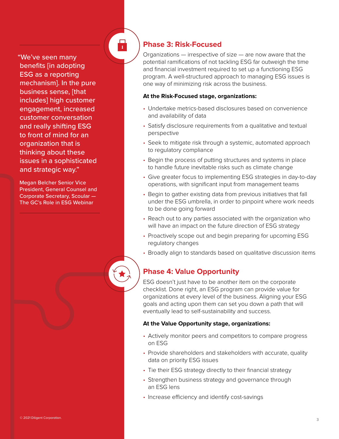"We've seen many benefits [in adopting ESG as a reporting mechanism]. In the pure business sense, [that includes] high customer engagement, increased customer conversation and really shifting ESG to front of mind for an organization that is thinking about these issues in a sophisticated and strategic way."

Megan Belcher Senior Vice President, General Counsel and Corporate Secretary, Scoular — The GC's Role in ESG Webinar

# **Phase 3: Risk-Focused**

 $\frac{1}{\sqrt{2}}$ 

Organizations — irrespective of size — are now aware that the potential ramifications of not tackling ESG far outweigh the time and financial investment required to set up a functioning ESG program. A well-structured approach to managing ESG issues is one way of minimizing risk across the business.

#### **At the Risk-Focused stage, organizations:**

- Undertake metrics-based disclosures based on convenience and availability of data
- Satisfy disclosure requirements from a qualitative and textual perspective
- Seek to mitigate risk through a systemic, automated approach to regulatory compliance
- Begin the process of putting structures and systems in place to handle future inevitable risks such as climate change
- Give greater focus to implementing ESG strategies in day-to-day operations, with significant input from management teams
- Begin to gather existing data from previous initiatives that fall under the ESG umbrella, in order to pinpoint where work needs to be done going forward
- Reach out to any parties associated with the organization who will have an impact on the future direction of ESG strategy
- Proactively scope out and begin preparing for upcoming ESG regulatory changes
- Broadly align to standards based on qualitative discussion items

# **Phase 4: Value Opportunity**

ESG doesn't just have to be another item on the corporate checklist. Done right, an ESG program can provide value for organizations at every level of the business. Aligning your ESG goals and acting upon them can set you down a path that will eventually lead to self-sustainability and success.

#### **At the Value Opportunity stage, organizations:**

- Actively monitor peers and competitors to compare progress on ESG
- Provide shareholders and stakeholders with accurate, quality data on priority ESG issues
- Tie their ESG strategy directly to their financial strategy
- Strengthen business strategy and governance through an ESG lens
- Increase efficiency and identify cost-savings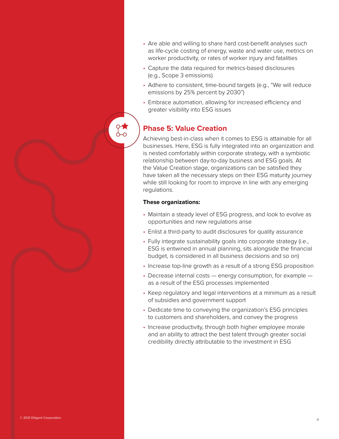- Are able and willing to share hard cost-benefit analyses such as life-cycle costing of energy, waste and water use, metrics on worker productivity, or rates of worker injury and fatalities
- Capture the data required for metrics-based disclosures (e.g., Scope 3 emissions)
- Adhere to consistent, time-bound targets (e.g., "We will reduce emissions by 25% percent by 2030")
- Embrace automation, allowing for increased efficiency and greater visibility into ESG issues

# **Phase 5: Value Creation**

Achieving best-in-class when it comes to ESG is attainable for all businesses. Here, ESG is fully integrated into an organization and is nested comfortably within corporate strategy, with a symbiotic relationship between day-to-day business and ESG goals. At the Value Creation stage, organizations can be satisfied they have taken all the necessary steps on their ESG maturity journey while still looking for room to improve in line with any emerging regulations.

#### **These organizations:**

- Maintain a steady level of ESG progress, and look to evolve as opportunities and new regulations arise
- Enlist a third-party to audit disclosures for quality assurance
- Fully integrate sustainability goals into corporate strategy (i.e., ESG is entwined in annual planning, sits alongside the financial budget, is considered in all business decisions and so on)
- Increase top-line growth as a result of a strong ESG proposition
- Decrease internal costs energy consumption, for example as a result of the ESG processes implemented
- Keep regulatory and legal interventions at a minimum as a result of subsidies and government support
- Dedicate time to conveying the organization's ESG principles to customers and shareholders, and convey the progress
- Increase productivity, through both higher employee morale and an ability to attract the best talent through greater social credibility directly attributable to the investment in ESG

4 © 2021 Diligent Corporation.